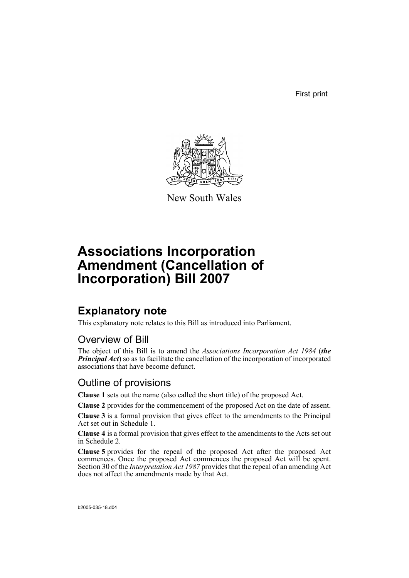First print



New South Wales

# **Associations Incorporation Amendment (Cancellation of Incorporation) Bill 2007**

# **Explanatory note**

This explanatory note relates to this Bill as introduced into Parliament.

## Overview of Bill

The object of this Bill is to amend the *Associations Incorporation Act 1984* (*the Principal Act*) so as to facilitate the cancellation of the incorporation of incorporated associations that have become defunct.

## Outline of provisions

**Clause 1** sets out the name (also called the short title) of the proposed Act.

**Clause 2** provides for the commencement of the proposed Act on the date of assent.

**Clause 3** is a formal provision that gives effect to the amendments to the Principal Act set out in Schedule 1.

**Clause 4** is a formal provision that gives effect to the amendments to the Acts set out in Schedule 2.

**Clause 5** provides for the repeal of the proposed Act after the proposed Act commences. Once the proposed Act commences the proposed Act will be spent. Section 30 of the *Interpretation Act 1987* provides that the repeal of an amending Act does not affect the amendments made by that Act.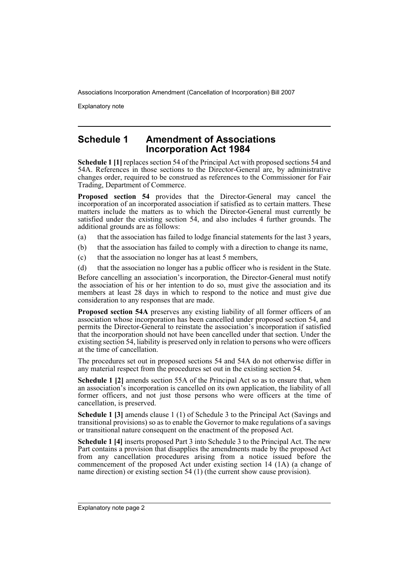Explanatory note

### **Schedule 1 Amendment of Associations Incorporation Act 1984**

**Schedule 1 [1]** replaces section 54 of the Principal Act with proposed sections 54 and 54A. References in those sections to the Director-General are, by administrative changes order, required to be construed as references to the Commissioner for Fair Trading, Department of Commerce.

**Proposed section 54** provides that the Director-General may cancel the incorporation of an incorporated association if satisfied as to certain matters. These matters include the matters as to which the Director-General must currently be satisfied under the existing section 54, and also includes 4 further grounds. The additional grounds are as follows:

- (a) that the association has failed to lodge financial statements for the last 3 years,
- (b) that the association has failed to comply with a direction to change its name,
- (c) that the association no longer has at least 5 members,
- (d) that the association no longer has a public officer who is resident in the State.

Before cancelling an association's incorporation, the Director-General must notify the association of his or her intention to do so, must give the association and its members at least 28 days in which to respond to the notice and must give due consideration to any responses that are made.

**Proposed section 54A** preserves any existing liability of all former officers of an association whose incorporation has been cancelled under proposed section 54, and permits the Director-General to reinstate the association's incorporation if satisfied that the incorporation should not have been cancelled under that section. Under the existing section 54, liability is preserved only in relation to persons who were officers at the time of cancellation.

The procedures set out in proposed sections 54 and 54A do not otherwise differ in any material respect from the procedures set out in the existing section 54.

**Schedule 1 [2]** amends section 55A of the Principal Act so as to ensure that, when an association's incorporation is cancelled on its own application, the liability of all former officers, and not just those persons who were officers at the time of cancellation, is preserved.

**Schedule 1 [3]** amends clause 1 (1) of Schedule 3 to the Principal Act (Savings and transitional provisions) so as to enable the Governor to make regulations of a savings or transitional nature consequent on the enactment of the proposed Act.

**Schedule 1 [4]** inserts proposed Part 3 into Schedule 3 to the Principal Act. The new Part contains a provision that disapplies the amendments made by the proposed Act from any cancellation procedures arising from a notice issued before the commencement of the proposed Act under existing section 14 (1A) (a change of name direction) or existing section 54 (1) (the current show cause provision).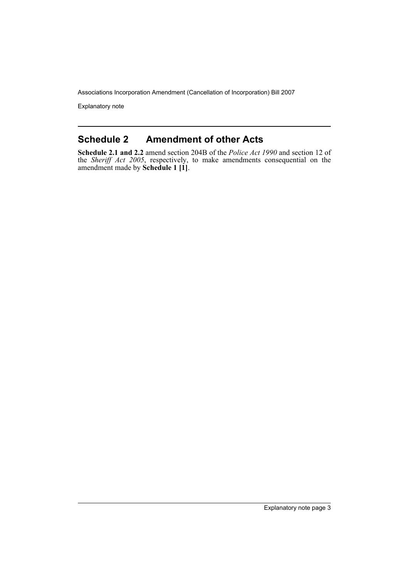Explanatory note

### **Schedule 2 Amendment of other Acts**

**Schedule 2.1 and 2.2** amend section 204B of the *Police Act 1990* and section 12 of the *Sheriff Act 2005*, respectively, to make amendments consequential on the amendment made by **Schedule 1 [1]**.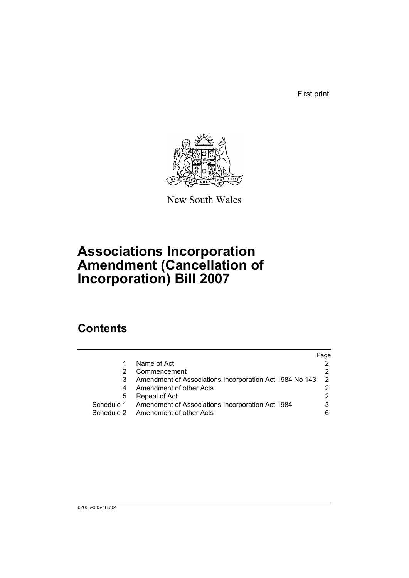First print



New South Wales

# **Associations Incorporation Amendment (Cancellation of Incorporation) Bill 2007**

# **Contents**

|            |                                                         | Page |
|------------|---------------------------------------------------------|------|
|            | Name of Act                                             |      |
|            | Commencement                                            |      |
|            | Amendment of Associations Incorporation Act 1984 No 143 | 2    |
| 4          | Amendment of other Acts                                 |      |
| 5          | Repeal of Act                                           |      |
| Schedule 1 | Amendment of Associations Incorporation Act 1984        |      |
|            | Schedule 2 Amendment of other Acts                      |      |
|            |                                                         |      |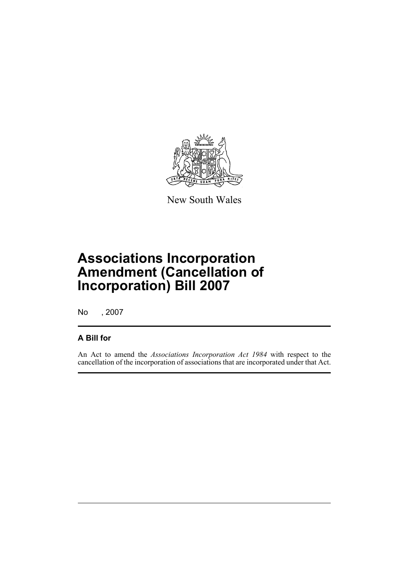

New South Wales

# **Associations Incorporation Amendment (Cancellation of Incorporation) Bill 2007**

No , 2007

### **A Bill for**

An Act to amend the *Associations Incorporation Act 1984* with respect to the cancellation of the incorporation of associations that are incorporated under that Act.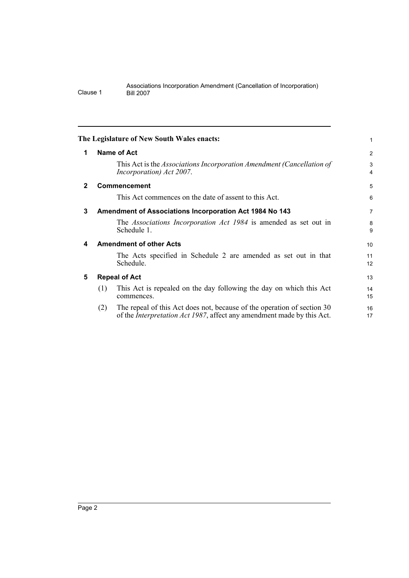<span id="page-7-4"></span><span id="page-7-3"></span><span id="page-7-2"></span><span id="page-7-1"></span><span id="page-7-0"></span>

|              |                                                                | The Legislature of New South Wales enacts:                                                                                                                | 1              |
|--------------|----------------------------------------------------------------|-----------------------------------------------------------------------------------------------------------------------------------------------------------|----------------|
| 1            |                                                                | <b>Name of Act</b>                                                                                                                                        | $\overline{2}$ |
|              |                                                                | This Act is the Associations Incorporation Amendment (Cancellation of<br>Incorporation) Act 2007.                                                         | 3<br>4         |
| $\mathbf{2}$ |                                                                | <b>Commencement</b>                                                                                                                                       | 5              |
|              |                                                                | This Act commences on the date of assent to this Act.                                                                                                     | 6              |
| 3            | <b>Amendment of Associations Incorporation Act 1984 No 143</b> |                                                                                                                                                           | 7              |
|              |                                                                | The Associations Incorporation Act 1984 is amended as set out in<br>Schedule 1.                                                                           | 8<br>9         |
| 4            | <b>Amendment of other Acts</b>                                 |                                                                                                                                                           |                |
|              |                                                                | The Acts specified in Schedule 2 are amended as set out in that<br>Schedule.                                                                              | 11<br>12       |
| 5            | <b>Repeal of Act</b>                                           |                                                                                                                                                           |                |
|              | (1)                                                            | This Act is repealed on the day following the day on which this Act<br>commences.                                                                         | 14<br>15       |
|              | (2)                                                            | The repeal of this Act does not, because of the operation of section 30<br>of the <i>Interpretation Act 1987</i> , affect any amendment made by this Act. | 16<br>17       |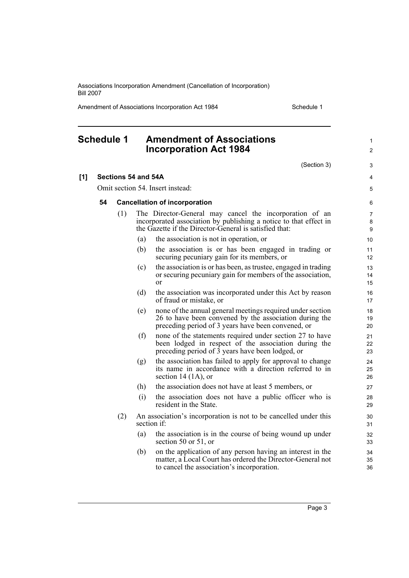Amendment of Associations Incorporation Act 1984 Schedule 1

1  $\mathfrak{p}$ 

3 4 5

## <span id="page-8-0"></span>**Schedule 1 Amendment of Associations Incorporation Act 1984** (Section 3) **[1] Sections 54 and 54A** Omit section 54. Insert instead:

#### **54 Cancellation of incorporation**

- (1) The Director-General may cancel the incorporation of an incorporated association by publishing a notice to that effect in the Gazette if the Director-General is satisfied that:
	- (a) the association is not in operation, or
	- (b) the association is or has been engaged in trading or securing pecuniary gain for its members, or
	- (c) the association is or has been, as trustee, engaged in trading or securing pecuniary gain for members of the association, or
	- (d) the association was incorporated under this Act by reason of fraud or mistake, or
	- (e) none of the annual general meetings required under section 26 to have been convened by the association during the preceding period of 3 years have been convened, or
	- (f) none of the statements required under section 27 to have been lodged in respect of the association during the preceding period of 3 years have been lodged, or
	- (g) the association has failed to apply for approval to change its name in accordance with a direction referred to in section 14 (1A), or
	- (h) the association does not have at least 5 members, or
	- (i) the association does not have a public officer who is resident in the State.
- (2) An association's incorporation is not to be cancelled under this section if:
	- (a) the association is in the course of being wound up under section 50 or 51, or
	- (b) on the application of any person having an interest in the matter, a Local Court has ordered the Director-General not to cancel the association's incorporation.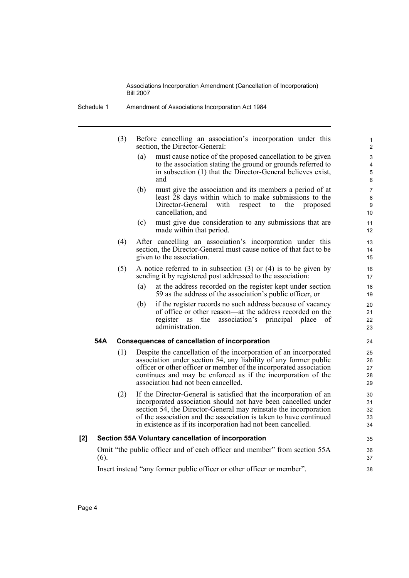- Schedule 1 Amendment of Associations Incorporation Act 1984
	- (3) Before cancelling an association's incorporation under this section, the Director-General:
		- (a) must cause notice of the proposed cancellation to be given to the association stating the ground or grounds referred to in subsection (1) that the Director-General believes exist, and

- (b) must give the association and its members a period of at least 28 days within which to make submissions to the with respect to the proposed cancellation, and
- (c) must give due consideration to any submissions that are made within that period.
- (4) After cancelling an association's incorporation under this section, the Director-General must cause notice of that fact to be given to the association.
- (5) A notice referred to in subsection (3) or (4) is to be given by sending it by registered post addressed to the association:
	- (a) at the address recorded on the register kept under section 59 as the address of the association's public officer, or
	- (b) if the register records no such address because of vacancy of office or other reason—at the address recorded on the register as the association's principal place of administration.

#### **54A Consequences of cancellation of incorporation**

- (1) Despite the cancellation of the incorporation of an incorporated association under section 54, any liability of any former public officer or other officer or member of the incorporated association continues and may be enforced as if the incorporation of the association had not been cancelled.
- (2) If the Director-General is satisfied that the incorporation of an incorporated association should not have been cancelled under section 54, the Director-General may reinstate the incorporation of the association and the association is taken to have continued in existence as if its incorporation had not been cancelled.

#### **[2] Section 55A Voluntary cancellation of incorporation**

Omit "the public officer and of each officer and member" from section 55A (6).

Insert instead "any former public officer or other officer or member".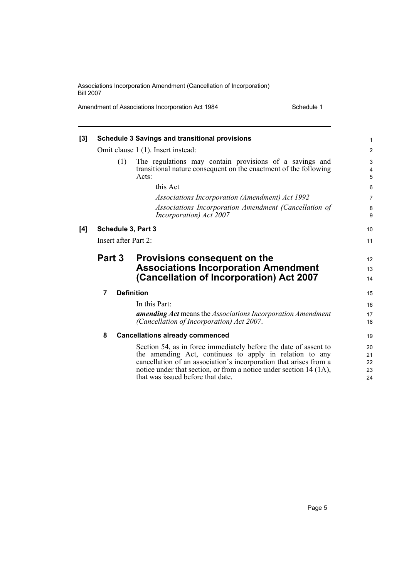Amendment of Associations Incorporation Act 1984 Schedule 1

| [3] | <b>Schedule 3 Savings and transitional provisions</b> |     |                                                                                                                                                                                                                                                                                                             |                                   |
|-----|-------------------------------------------------------|-----|-------------------------------------------------------------------------------------------------------------------------------------------------------------------------------------------------------------------------------------------------------------------------------------------------------------|-----------------------------------|
|     | Omit clause 1 (1). Insert instead:                    |     |                                                                                                                                                                                                                                                                                                             |                                   |
|     |                                                       | (1) | The regulations may contain provisions of a savings and<br>transitional nature consequent on the enactment of the following<br>Acts:                                                                                                                                                                        | 3<br>$\overline{\mathbf{4}}$<br>5 |
|     |                                                       |     | this Act                                                                                                                                                                                                                                                                                                    | 6                                 |
|     |                                                       |     | Associations Incorporation (Amendment) Act 1992                                                                                                                                                                                                                                                             | $\overline{7}$                    |
|     |                                                       |     | Associations Incorporation Amendment (Cancellation of<br><i>Incorporation</i> ) Act 2007                                                                                                                                                                                                                    | 8<br>9                            |
| [4] | Schedule 3, Part 3                                    |     |                                                                                                                                                                                                                                                                                                             | 10                                |
|     | Insert after Part 2:                                  |     |                                                                                                                                                                                                                                                                                                             | 11                                |
|     | Part 3                                                |     | <b>Provisions consequent on the</b><br><b>Associations Incorporation Amendment</b><br>(Cancellation of Incorporation) Act 2007                                                                                                                                                                              | 12<br>13<br>14                    |
|     | 7                                                     |     | <b>Definition</b>                                                                                                                                                                                                                                                                                           | 15                                |
|     |                                                       |     | In this Part:                                                                                                                                                                                                                                                                                               | 16                                |
|     |                                                       |     | amending Act means the Associations Incorporation Amendment<br>(Cancellation of Incorporation) Act 2007.                                                                                                                                                                                                    | 17<br>18                          |
|     | 8                                                     |     | <b>Cancellations already commenced</b>                                                                                                                                                                                                                                                                      | 19                                |
|     |                                                       |     | Section 54, as in force immediately before the date of assent to<br>the amending Act, continues to apply in relation to any<br>cancellation of an association's incorporation that arises from a<br>notice under that section, or from a notice under section 14 (1A),<br>that was issued before that date. | 20<br>21<br>22<br>23<br>24        |
|     |                                                       |     |                                                                                                                                                                                                                                                                                                             |                                   |